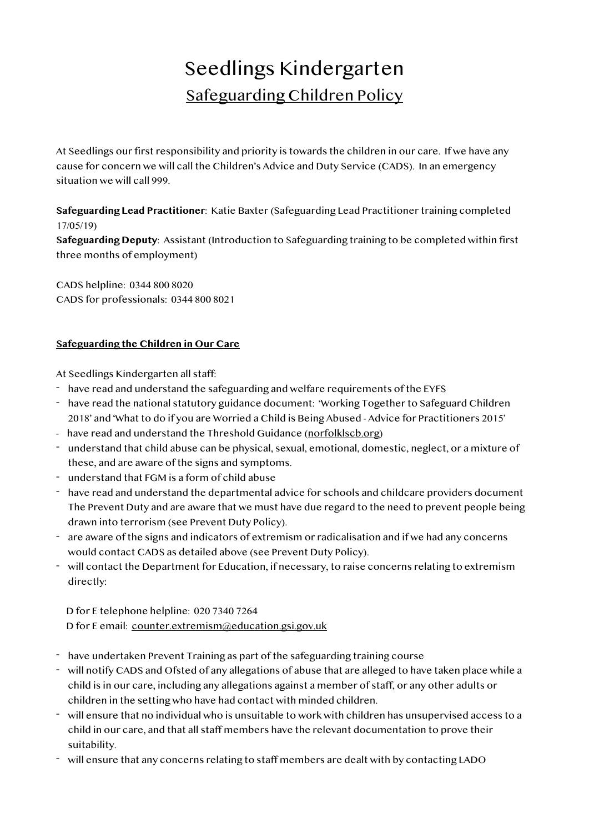# Seedlings Kindergarten Safeguarding Children Policy

At Seedlings our first responsibility and priority is towards the children in our care. If we have any cause for concern we will call the Children's Advice and Duty Service (CADS). In an emergency situation we will call 999.

**Safeguarding Lead Practitioner**: Katie Baxter (Safeguarding Lead Practitioner training completed 17/05/19)

**Safeguarding Deputy**: Assistant (Introduction to Safeguarding training to be completed within first three months of employment)

CADS helpline: 0344 800 8020 CADS for professionals: 0344 800 8021

### **Safeguarding the Children in Our Care**

At Seedlings Kindergarten all staff:

- have read and understand the safeguarding and welfare requirements of the EYFS
- have read the national statutory guidance document: 'Working Together to Safeguard Children 2018' and 'What to do if you are Worried a Child is Being Abused - Advice for Practitioners 2015'
- have read and understand the Threshold Guidance [\(norfolklscb.org\)](http://norfolklscb.org)
- understand that child abuse can be physical, sexual, emotional, domestic, neglect, or a mixture of these, and are aware of the signs and symptoms.
- understand that FGM is a form of child abuse
- have read and understand the departmental advice for schools and childcare providers document The Prevent Duty and are aware that we must have due regard to the need to prevent people being drawn into terrorism (see Prevent Duty Policy).
- are aware of the signs and indicators of extremism or radicalisation and if we had any concerns would contact CADS as detailed above (see Prevent Duty Policy).
- will contact the Department for Education, if necessary, to raise concerns relating to extremism directly:

 D for E telephone helpline: 020 7340 7264 D for E email: [counter.extremism@education.gsi.gov.uk](mailto:counter.extremism@education.gsi.gov.uk)

- have undertaken Prevent Training as part of the safeguarding training course
- will notify CADS and Ofsted of any allegations of abuse that are alleged to have taken place while a child is in our care, including any allegations against a member of staff, or any other adults or children in the setting who have had contact with minded children.
- will ensure that no individual who is unsuitable to work with children has unsupervised access to a child in our care, and that all staff members have the relevant documentation to prove their suitability.
- will ensure that any concerns relating to staff members are dealt with by contacting LADO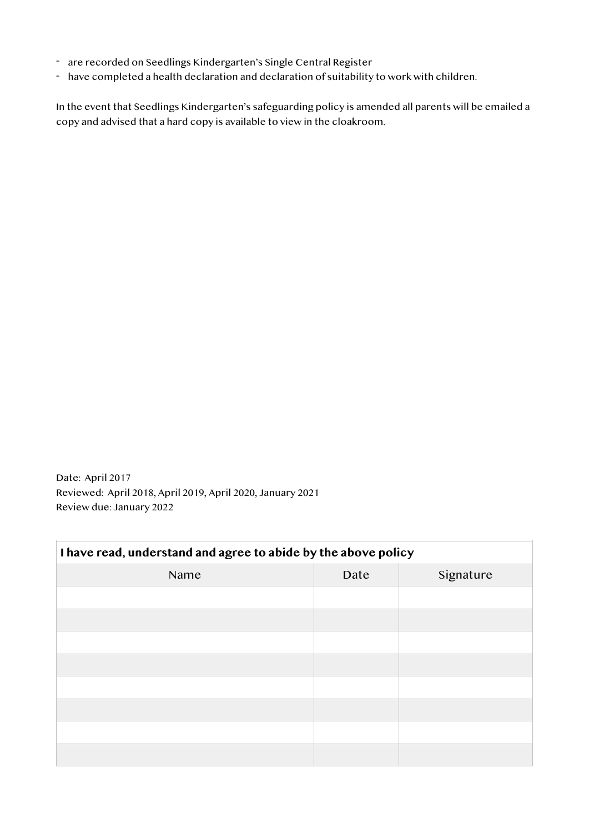- are recorded on Seedlings Kindergarten's Single Central Register
- have completed a health declaration and declaration of suitability to work with children.

In the event that Seedlings Kindergarten's safeguarding policy is amended all parents will be emailed a copy and advised that a hard copy is available to view in the cloakroom.

Date: April 2017 Reviewed: April 2018, April 2019, April 2020, January 2021 Review due: January 2022

| I have read, understand and agree to abide by the above policy |      |           |  |
|----------------------------------------------------------------|------|-----------|--|
| Name                                                           | Date | Signature |  |
|                                                                |      |           |  |
|                                                                |      |           |  |
|                                                                |      |           |  |
|                                                                |      |           |  |
|                                                                |      |           |  |
|                                                                |      |           |  |
|                                                                |      |           |  |
|                                                                |      |           |  |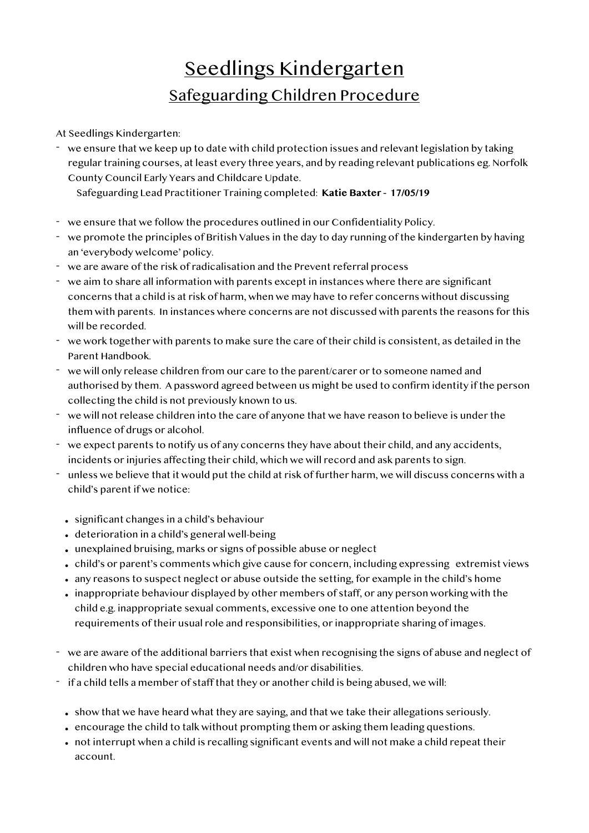## Seedlings Kindergarten Safeguarding Children Procedure

At Seedlings Kindergarten:

- we ensure that we keep up to date with child protection issues and relevant legislation by taking regular training courses, at least every three years, and by reading relevant publications eg. Norfolk County Council Early Years and Childcare Update.

Safeguarding Lead Practitioner Training completed: **Katie Baxter - 17/05/19**

- we ensure that we follow the procedures outlined in our Confidentiality Policy.
- we promote the principles of British Values in the day to day running of the kindergarten by having an 'everybody welcome' policy.
- we are aware of the risk of radicalisation and the Prevent referral process
- we aim to share all information with parents except in instances where there are significant concerns that a child is at risk of harm, when we may have to refer concerns without discussing them with parents. In instances where concerns are not discussed with parents the reasons for this will be recorded.
- we work together with parents to make sure the care of their child is consistent, as detailed in the Parent Handbook.
- we will only release children from our care to the parent/carer or to someone named and authorised by them. A password agreed between us might be used to confirm identity if the person collecting the child is not previously known to us.
- we will not release children into the care of anyone that we have reason to believe is under the influence of drugs or alcohol.
- we expect parents to notify us of any concerns they have about their child, and any accidents, incidents or injuries affecting their child, which we will record and ask parents to sign.
- unless we believe that it would put the child at risk of further harm, we will discuss concerns with a child's parent if we notice:
	- significant changes in a child's behaviour
	- deterioration in a child's general well-being
	- unexplained bruising, marks or signs of possible abuse or neglect
	- child's or parent's comments which give cause for concern, including expressing extremist views
	- any reasons to suspect neglect or abuse outside the setting, for example in the child's home
	- inappropriate behaviour displayed by other members of staff, or any person working with the child e.g. inappropriate sexual comments, excessive one to one attention beyond the requirements of their usual role and responsibilities, or inappropriate sharing of images.
- we are aware of the additional barriers that exist when recognising the signs of abuse and neglect of children who have special educational needs and/or disabilities.
- if a child tells a member of staff that they or another child is being abused, we will:
	- show that we have heard what they are saying, and that we take their allegations seriously.
	- encourage the child to talk without prompting them or asking them leading questions.
	- not interrupt when a child is recalling significant events and will not make a child repeat their account.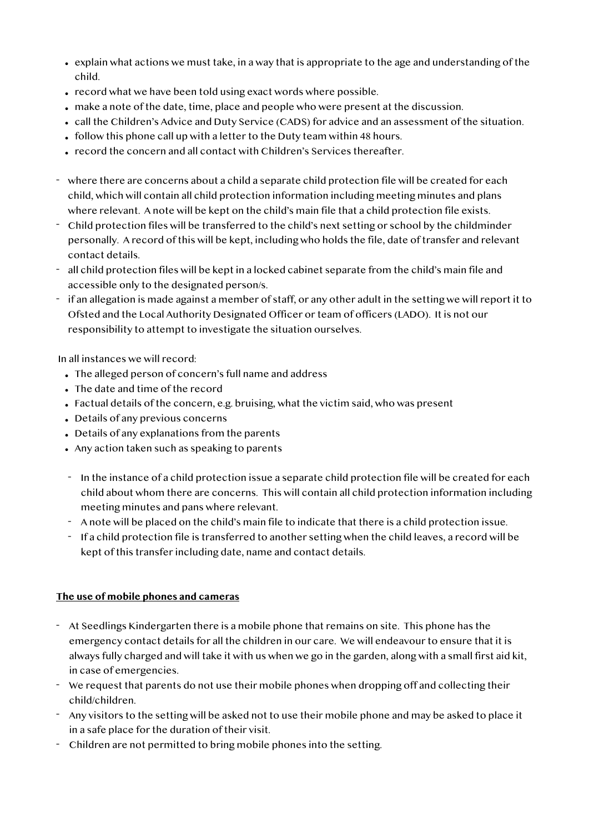- explain what actions we must take, in a way that is appropriate to the age and understanding of the child.
- record what we have been told using exact words where possible.
- make a note of the date, time, place and people who were present at the discussion.
- call the Children's Advice and Duty Service (CADS) for advice and an assessment of the situation.
- follow this phone call up with a letter to the Duty team within 48 hours.
- record the concern and all contact with Children's Services thereafter.
- where there are concerns about a child a separate child protection file will be created for each child, which will contain all child protection information including meeting minutes and plans where relevant. A note will be kept on the child's main file that a child protection file exists.
- Child protection files will be transferred to the child's next setting or school by the childminder personally. A record of this will be kept, including who holds the file, date of transfer and relevant contact details.
- all child protection files will be kept in a locked cabinet separate from the child's main file and accessible only to the designated person/s.
- if an allegation is made against a member of staff, or any other adult in the setting we will report it to Ofsted and the Local Authority Designated Officer or team of officers (LADO). It is not our responsibility to attempt to investigate the situation ourselves.

In all instances we will record:

- The alleged person of concern's full name and address
- The date and time of the record
- Factual details of the concern, e.g. bruising, what the victim said, who was present
- Details of any previous concerns
- Details of any explanations from the parents
- Any action taken such as speaking to parents
- In the instance of a child protection issue a separate child protection file will be created for each child about whom there are concerns. This will contain all child protection information including meeting minutes and pans where relevant.
- A note will be placed on the child's main file to indicate that there is a child protection issue.
- If a child protection file is transferred to another setting when the child leaves, a record will be kept of this transfer including date, name and contact details.

### **The use of mobile phones and cameras**

- At Seedlings Kindergarten there is a mobile phone that remains on site. This phone has the emergency contact details for all the children in our care. We will endeavour to ensure that it is always fully charged and will take it with us when we go in the garden, along with a small first aid kit, in case of emergencies.
- We request that parents do not use their mobile phones when dropping off and collecting their child/children.
- Any visitors to the setting will be asked not to use their mobile phone and may be asked to place it in a safe place for the duration of their visit.
- Children are not permitted to bring mobile phones into the setting.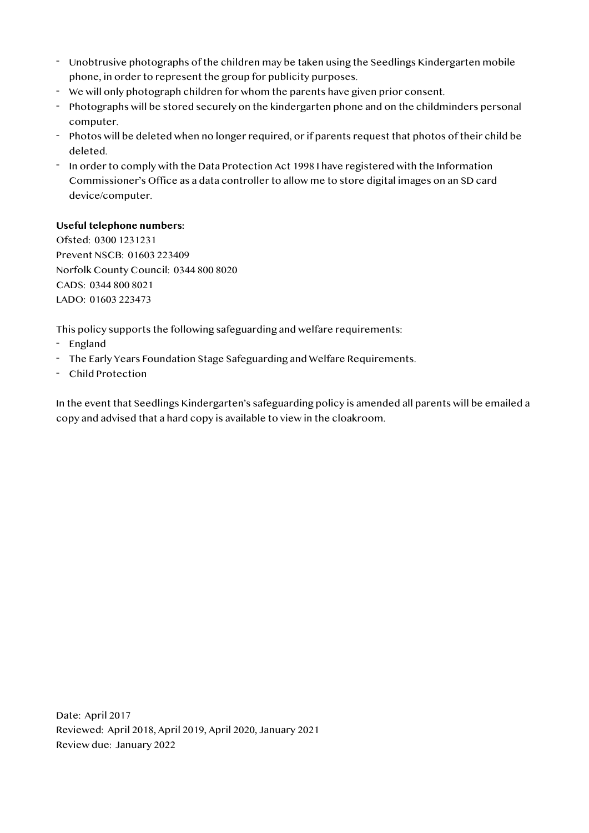- Unobtrusive photographs of the children may be taken using the Seedlings Kindergarten mobile phone, in order to represent the group for publicity purposes.
- We will only photograph children for whom the parents have given prior consent.
- Photographs will be stored securely on the kindergarten phone and on the childminders personal computer.
- Photos will be deleted when no longer required, or if parents request that photos of their child be deleted.
- In order to comply with the Data Protection Act 1998 I have registered with the Information Commissioner's Office as a data controller to allow me to store digital images on an SD card device/computer.

### **Useful telephone numbers:**

Ofsted: 0300 1231231 Prevent NSCB: 01603 223409 Norfolk County Council: 0344 800 8020 CADS: 0344 800 8021 LADO: 01603 223473

This policy supports the following safeguarding and welfare requirements:

- England
- The Early Years Foundation Stage Safeguarding and Welfare Requirements.
- Child Protection

In the event that Seedlings Kindergarten's safeguarding policy is amended all parents will be emailed a copy and advised that a hard copy is available to view in the cloakroom.

Date: April 2017 Reviewed: April 2018, April 2019, April 2020, January 2021 Review due: January 2022